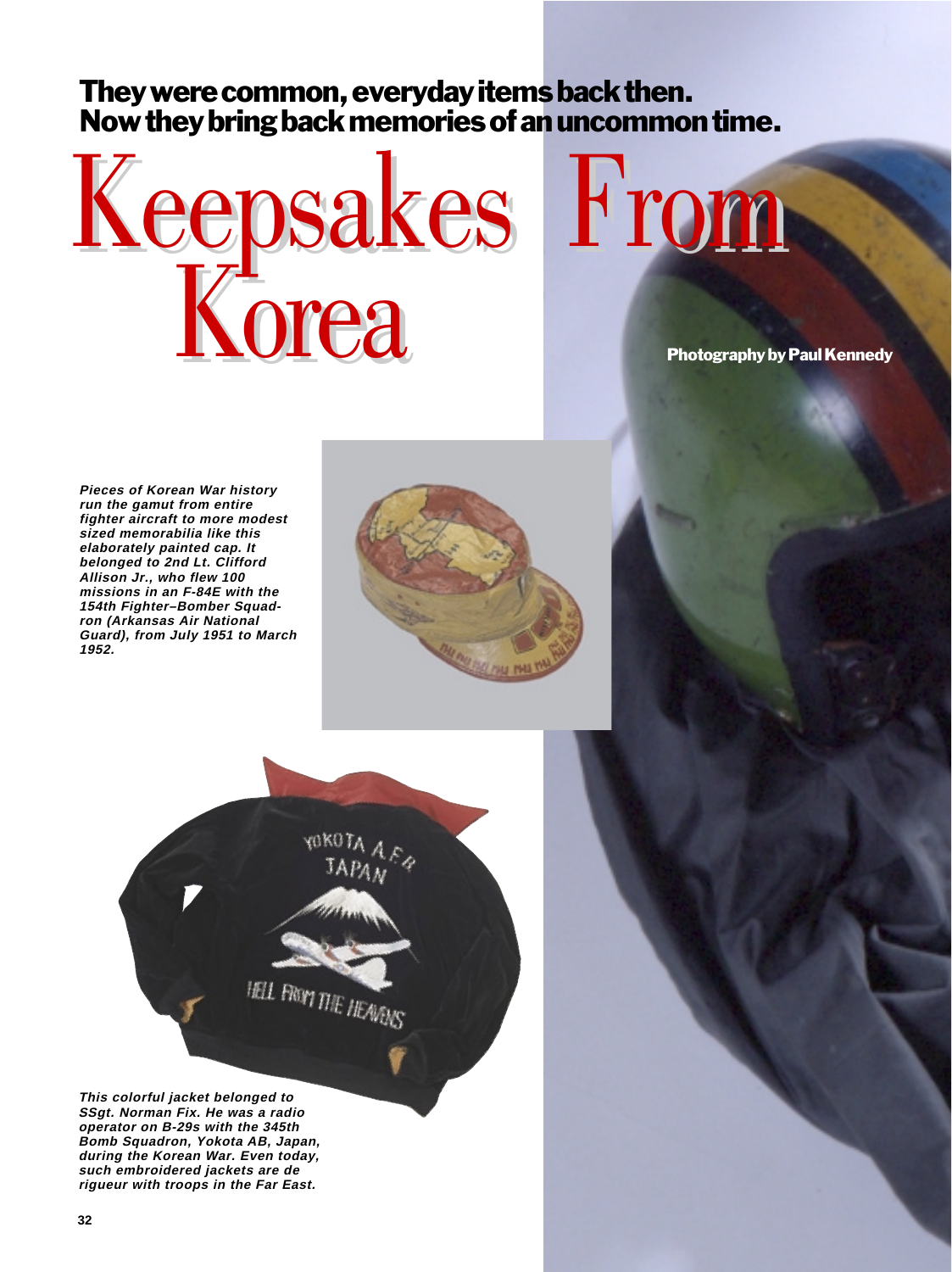## They were common, everyday items back then. Now they bring back memories of an uncommon time.



Photography by Paul Kennedy

**Pieces of Korean War history run the gamut from entire fighter aircraft to more modest sized memorabilia like this elaborately painted cap. It belonged to 2nd Lt. Clifford Allison Jr., who flew 100 missions in an F-84E with the 154th Fighter–Bomber Squadron (Arkansas Air National Guard), from July 1951 to March 1952.**





**This colorful jacket belonged to SSgt. Norman Fix. He was a radio operator on B-29s with the 345th Bomb Squadron, Yokota AB, Japan, during the Korean War. Even today, such embroidered jackets are de rigueur with troops in the Far East.**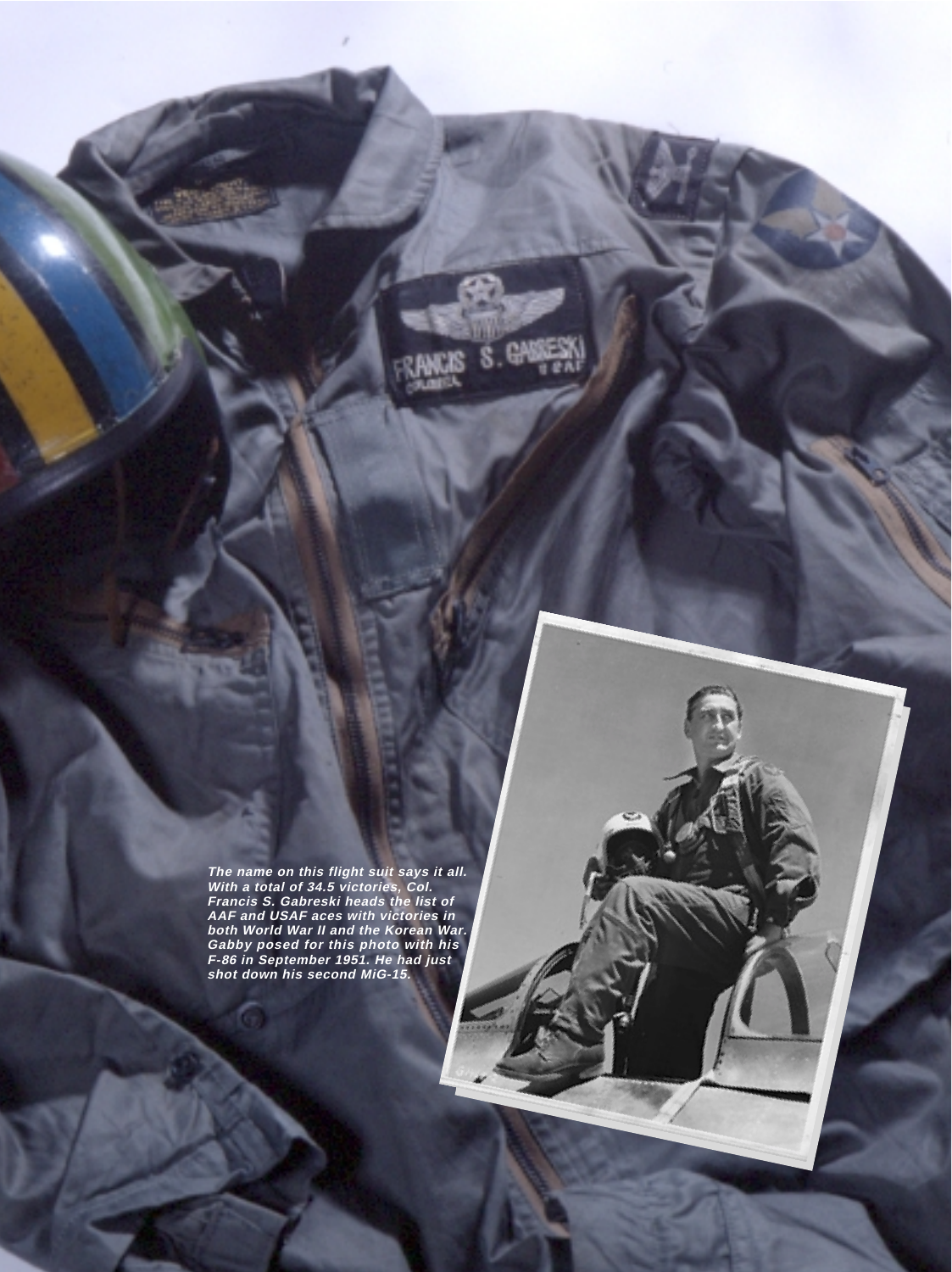**The name on this flight suit says it all. With a total of 34.5 victories, Col. Francis S. Gabreski heads the list of AAF and USAF aces with victories in both World War II and the Korean War. Gabby posed for this photo with his F-86 in September 1951. He had just shot down his second MiG-15.**

**AIR FORCE Magazine** / December 2000 **33**

S. GASSS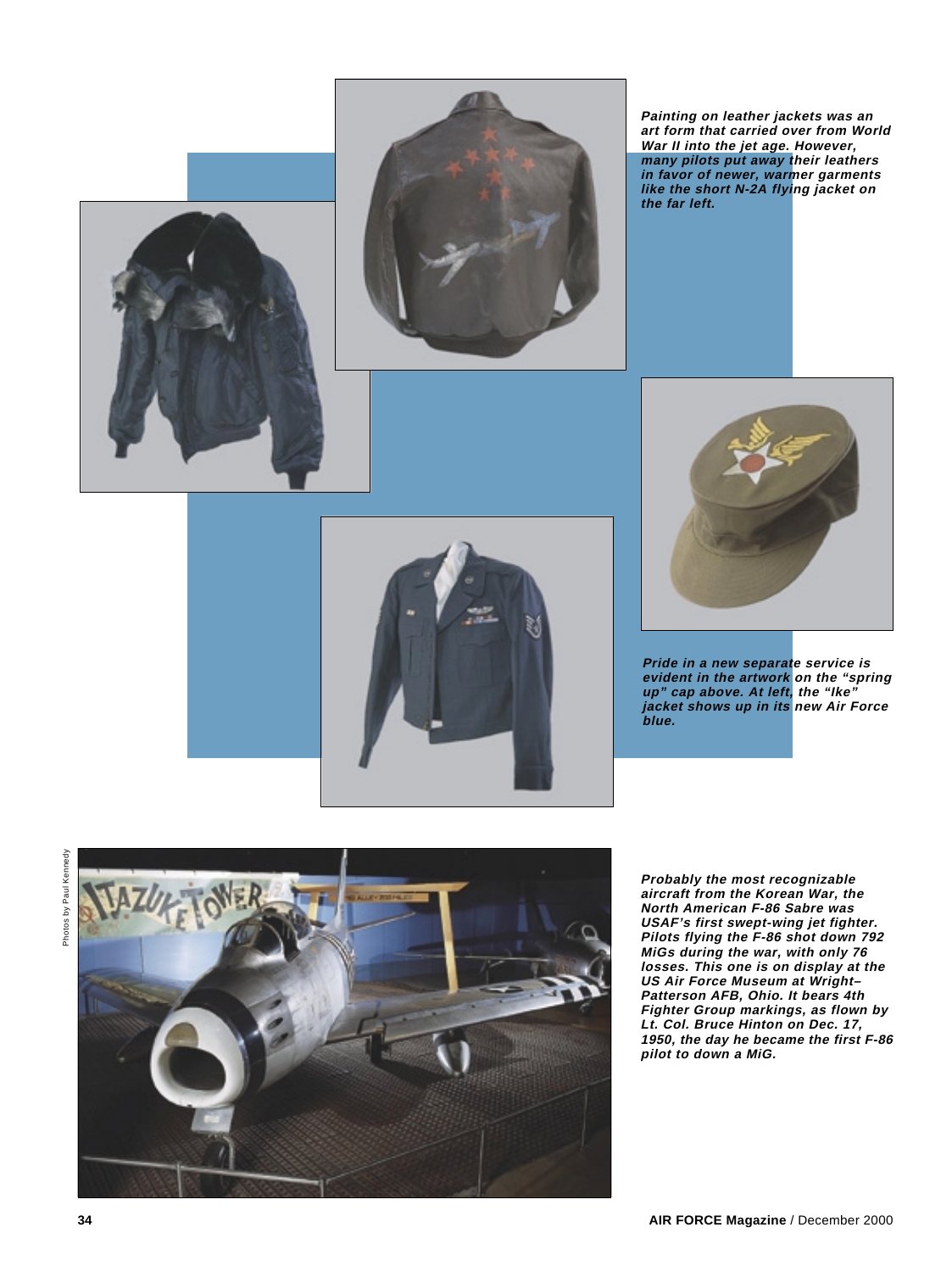



**Painting on leather jackets was an art form that carried over from World War II into the jet age. However, many pilots put away their leathers in favor of newer, warmer garments like the short N-2A flying jacket on the far left.**



**Pride in a new separate service is evident in the artwork on the "spring up" cap above. At left, the "Ike" jacket shows up in its new Air Force blue.**



Photos by Paul Kennedy Photos by Paul Kennedy



**Probably the most recognizable aircraft from the Korean War, the North American F-86 Sabre was USAF's first swept-wing jet fighter. Pilots flying the F-86 shot down 792 MiGs during the war, with only 76 losses. This one is on display at the US Air Force Museum at Wright– Patterson AFB, Ohio. It bears 4th Fighter Group markings, as flown by Lt. Col. Bruce Hinton on Dec. 17, 1950, the day he became the first F-86 pilot to down a MiG.**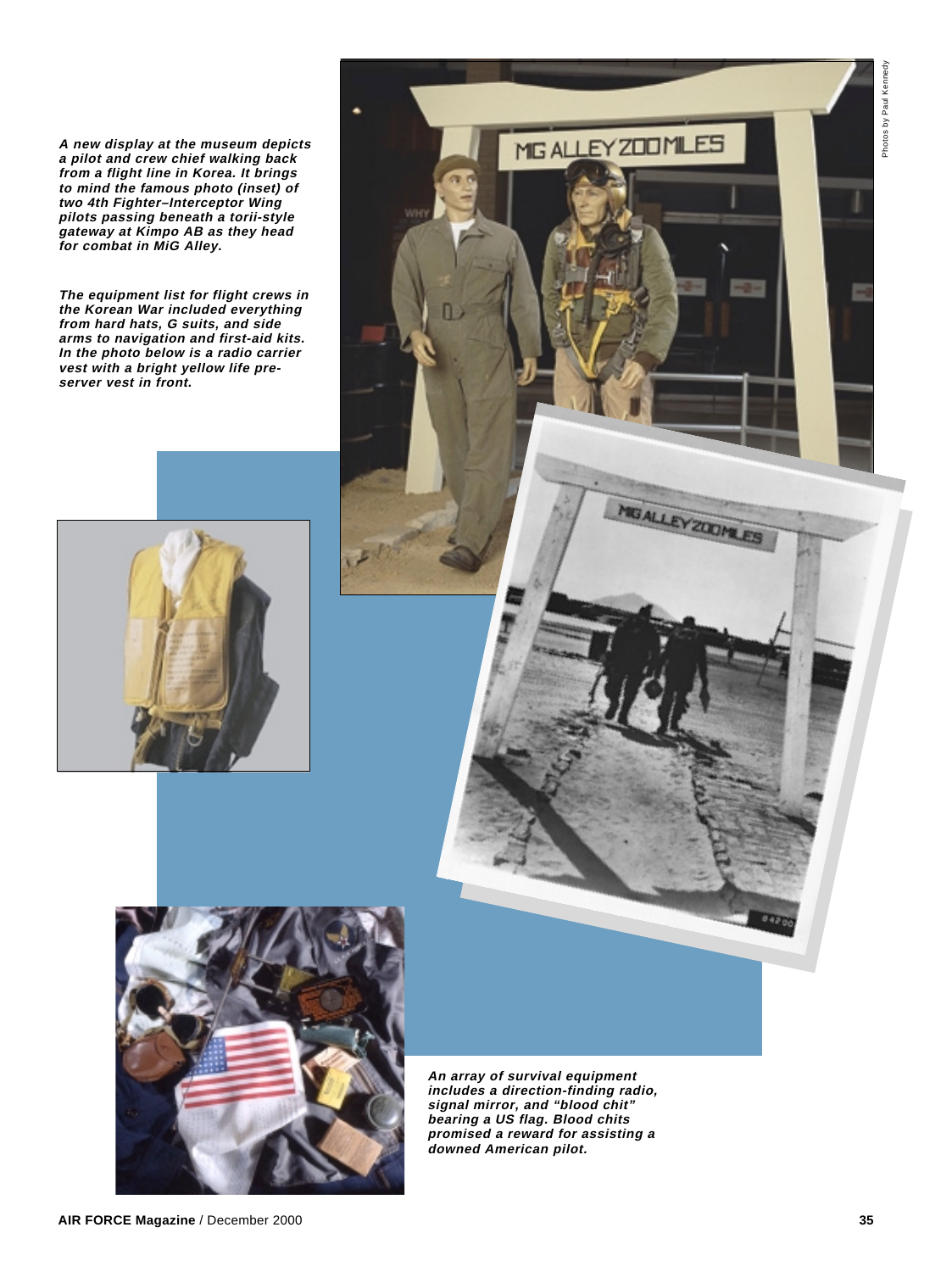**A new display at the museum depicts a pilot and crew chief walking back from a flight line in Korea. It brings to mind the famous photo (inset) of two 4th Fighter–Interceptor Wing pilots passing beneath a torii-style gateway at Kimpo AB as they head for combat in MiG Alley.**

**The equipment list for flight crews in the Korean War included everything from hard hats, G suits, and side arms to navigation and first-aid kits. In the photo below is a radio carrier vest with a bright yellow life preserver vest in front.**







**An array of survival equipment includes a direction-finding radio, signal mirror, and "blood chit" bearing a US flag. Blood chits promised a reward for assisting a downed American pilot.**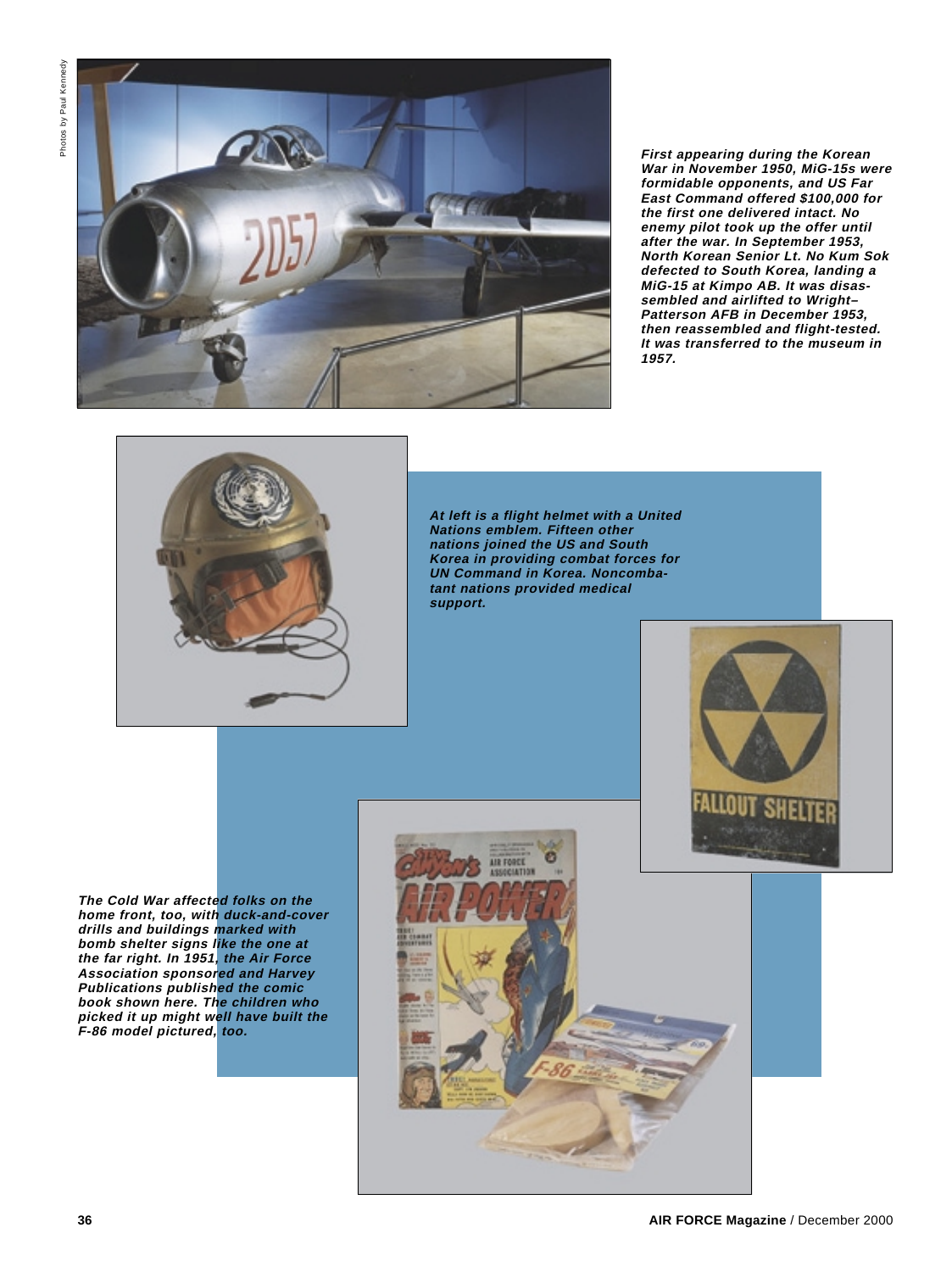

**First appearing during the Korean War in November 1950, MiG-15s were formidable opponents, and US Far East Command offered \$100,000 for the first one delivered intact. No enemy pilot took up the offer until after the war. In September 1953, North Korean Senior Lt. No Kum Sok defected to South Korea, landing a MiG-15 at Kimpo AB. It was disassembled and airlifted to Wright– Patterson AFB in December 1953, then reassembled and flight-tested. It was transferred to the museum in 1957.**



**At left is a flight helmet with a United Nations emblem. Fifteen other nations joined the US and South Korea in providing combat forces for UN Command in Korea. Noncombatant nations provided medical support.**



**The Cold War affected folks on the home front, too, with duck-and-cover drills and buildings marked with bomb shelter signs like the one at the far right. In 1951, the Air Force Association sponsored and Harvey Publications published the comic book shown here. The children who picked it up might well have built the F-86 model pictured, too.**